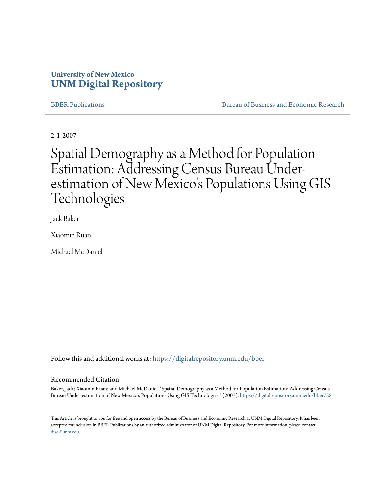#### **University of New Mexico [UNM Digital Repository](https://digitalrepository.unm.edu?utm_source=digitalrepository.unm.edu%2Fbber%2F58&utm_medium=PDF&utm_campaign=PDFCoverPages)**

[BBER Publications](https://digitalrepository.unm.edu/bber?utm_source=digitalrepository.unm.edu%2Fbber%2F58&utm_medium=PDF&utm_campaign=PDFCoverPages) **BUREAU SERVICES** [Bureau of Business and Economic Research](https://digitalrepository.unm.edu/business_economic_research?utm_source=digitalrepository.unm.edu%2Fbber%2F58&utm_medium=PDF&utm_campaign=PDFCoverPages)

2-1-2007

## Spatial Demography as a Method for Population Estimation: Addressing Census Bureau Underestimation of New Mexico's Populations Using GIS Technologies

Jack Baker

Xiaomin Ruan

Michael McDaniel

Follow this and additional works at: [https://digitalrepository.unm.edu/bber](https://digitalrepository.unm.edu/bber?utm_source=digitalrepository.unm.edu%2Fbber%2F58&utm_medium=PDF&utm_campaign=PDFCoverPages)

#### Recommended Citation

Baker, Jack; Xiaomin Ruan; and Michael McDaniel. "Spatial Demography as a Method for Population Estimation: Addressing Census Bureau Under-estimation of New Mexico's Populations Using GIS Technologies." (2007). [https://digitalrepository.unm.edu/bber/58](https://digitalrepository.unm.edu/bber/58?utm_source=digitalrepository.unm.edu%2Fbber%2F58&utm_medium=PDF&utm_campaign=PDFCoverPages)

This Article is brought to you for free and open access by the Bureau of Business and Economic Research at UNM Digital Repository. It has been accepted for inclusion in BBER Publications by an authorized administrator of UNM Digital Repository. For more information, please contact [disc@unm.edu](mailto:disc@unm.edu).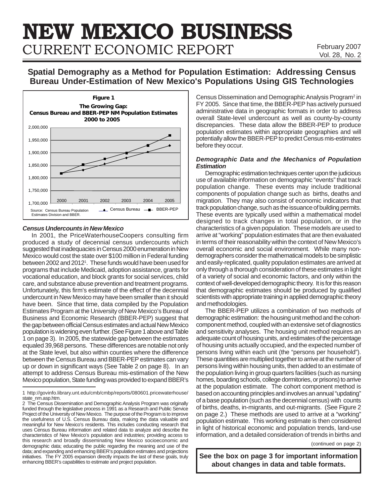# **NEW MEXICO BUSINESS** CURRENT ECONOMIC REPORT

February 2007 Vol. 28, No. 2

#### **Spatial Demography as a Method for Population Estimation: Addressing Census Bureau Under-Estimation of New Mexico's Populations Using GIS Technologies**



#### *Census Undercounts in New Mexico*

In 2001, the PriceWaterhouseCoopers consulting firm produced a study of decennial census undercounts which suggested that inadequacies in Census 2000 enumeration in New Mexico would cost the state over \$100 million in Federal funding between 2002 and 20121 . These funds would have been used for programs that include Medicaid, adoption assistance, grants for vocational education, and block grants for social services, child care, and substance abuse prevention and treatment programs. Unfortunately, this firm's estimate of the effect of the decennial undercount in New Mexico may have been smaller than it should have been. Since that time, data compiled by the Population Estimates Program at the University of New Mexico's Bureau of Business and Economic Research (BBER-PEP) suggest that the gap between official Census estimates and actual New Mexico population is widening even further. (See Figure 1 above and Table 1 on page 3). In 2005, the statewide gap between the estimates equaled 39,968 persons.These differences are notable not only at the State level, but also within counties where the difference between the Census Bureau and BBER-PEP estimates can vary up or down in significant ways (See Table 2 on page 8). In an attempt to address Census Bureau mis-estimation of the New Mexico population, State funding was provided to expand BBER's

Census Dissemination and Demographic Analysis Program<sup>2</sup> in FY 2005. Since that time, the BBER-PEP has actively pursued administrative data in geographic formats in order to address overall State-level undercount as well as county-by-county discrepancies. These data allow the BBER-PEP to produce population estimates within appropriate geographies and will potentially allow the BBER-PEP to predict Census mis-estimates before they occur.

#### *Demographic Data and the Mechanics of Population Estimation*

Demographic estimation techniques center upon the judicious use of available information on demographic "events" that track population change. These events may include traditional components of population change such as births, deaths and migration. They may also consist of economic indicators that track population change, such as the issuance of building permits. These events are typically used within a mathematical model designed to track changes in total population, or in the characteristics of a given population. These models are used to arrive at "working" population estimates that are then evaluated in terms of their reasonability within the context of New Mexico's overall economic and social environment. While many nondemographers consider the mathematical models to be simplistic and easily-replicated, quality population estimates are arrived at only through a thorough consideration of these estimates in light of a variety of social and economic factors, and only within the context of well-developed demographic theory. It is for this reason that demographic estimates should be produced by qualified scientists with appropriate training in applied demographic theory and methodologies.

The BBER-PEP utilizes a combination of two methods of demographic estimation: the housing unit method and the cohortcomponent method, coupled with an extensive set of diagnostics and sensitivity analyses. The housing unit method requires an adequate count of housing units, and estimates of the percentage of housing units actually occupied, and the expected number of persons living within each unit (the "persons per household"). These quantities are multiplied together to arrive at the number of persons living within housing units, then added to an estimate of the population living in group quarters facilities (such as nursing homes, boarding schools, college dormitories, or prisons) to arrive at the population estimate. The cohort component method is based on accounting principles and involves an annual "updating" of a base population (such as the decennial census) with counts of births, deaths, in-migrants, and out-migrants. (See Figure 2 on page 2.) These methods are used to arrive at a "working" population estimate. This working estimate is then considered in light of historical economic and population trends, land-use information, and a detailed consideration of trends in births and

(continued on page 2)

**See the box on page 3 for important information about changes in data and table formats.**

<sup>1</sup> http://govinfo.library.unt.edu/cmb/cmbp/reports/080601.pricewaterhouse/ state\_nm.asp.htm.

<sup>2</sup> The Census Dissemination and Demographic Analysis Program was originally funded through the legislative process in 1991 as a Research and Public Service Project of the University of New Mexico. The purpose of the Program is to improve the usefulness of U.S. Census Bureau data, making the data valuable and meaningful for New Mexico's residents. This includes conducting research that uses Census Bureau information and related data to analyze and describe the characteristics of New Mexico's population and industries; providing access to this research and broadly disseminating New Mexico socioeconomic and demographic data; educating the public regarding the meaning and use of the data; and expanding and enhancing BBER's population estimates and projections initiatives. The FY 2005 expansion directly impacts the last of these goals, truly enhancing BBER's capabilities to estimate and project population.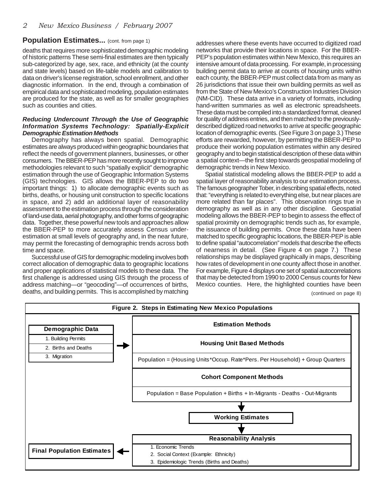deaths that requires more sophisticated demographic modeling of historic patterns These semi-final estimates are then typically sub-categorized by age, sex, race, and ethnicity (at the county and state levels) based on life-table models and calibration to data on driver's license registration, school enrollment, and other diagnostic information. In the end, through a combination of empirical data and sophisticated modeling, population estimates are produced for the state, as well as for smaller geographies such as counties and cities.

#### *Reducing Undercount Through the Use of Geographic Information Systems Technology: Spatially-Explicit Demographic Estimation Methods*

Demography has always been spatial. Demographic estimates are always produced within geographic boundaries that reflect the needs of government planners, businesses, or other consumers. The BBER-PEP has more recently sought to improve methodologies relevant to such "spatially explicit" demographic estimation through the use of Geographic Information Systems (GIS) technologies. GIS allows the BBER-PEP to do two important things: 1) to allocate demographic events such as births, deaths, or housing unit construction to specific locations in space, and 2) add an additional layer of reasonability assessment to the estimation process through the consideration of land-use data, aerial photography, and other forms of geographic data. Together, these powerful new tools and approaches allow the BBER-PEP to more accurately assess Census underestimation at small levels of geography and, in the near future, may permit the forecasting of demographic trends across both time and space.

Successful use of GIS for demographic modeling involves both correct allocation of demographic data to geographic locations and proper applications of statistical models to these data. The first challenge is addressed using GIS through the process of address matching—or "geocoding"—of occurrences of births, deaths, and building permits. This is accomplished by matching (continued on page 8)

**Population Estimates...** (cont. from page 1) addresses where these events have occurred to digitized road networks that provide their locations in space. For the BBER-PEP's population estimates within New Mexico, this requires an intensive amount of data processing. For example, in processing building permit data to arrive at counts of housing units within each county, the BBER-PEP must collect data from as many as 26 jurisdictions that issue their own building permits as well as from the State of New Mexico's Construction Industries Division (NM-CID). These data arrive in a variety of formats, including hand-written summaries as well as electronic spreadsheets. These data must be compiled into a standardized format, cleaned for quality of address entries, and then matched to the previouslydescribed digitized road networks to arrive at specific geographic location of demographic events. (See Figure 3 on page 3.) These efforts are rewarded, however, by permitting the BBER-PEP to produce their working population estimates within any desired geography and to begin statistical description of these data within a spatial context—the first step towards geospatial modeling of demographic trends in New Mexico.

Spatial statistical modeling allows the BBER-PEP to add a spatial layer of reasonability analysis to our estimation process. The famous geographer Tober, in describing spatial effects, noted that: "everything is related to everything else, but near places are more related than far places". This observation rings true in demography as well as in any other discipline. Geospatial modeling allows the BBER-PEP to begin to assess the effect of spatial proximity on demographic trends such as, for example, the issuance of building permits. Once these data have been matched to specific geographic locations, the BBER-PEP is able to define spatial "autocorrelation" models that describe the effects of nearness in detail. (See Figure 4 on page 7.) These relationships may be displayed graphically in maps, describing how rates of development in one county affect those in another. For example, Figure 4 displays one set of spatial autocorrelations that may be detected from 1990 to 2000 Census counts for New Mexico counties. Here, the highlighted counties have been

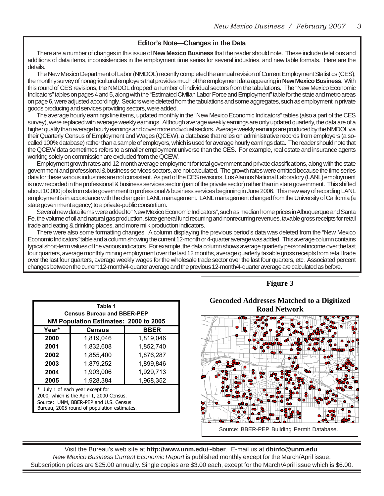#### **Editor's Note—Changes in the Data**

There are a number of changes in this issue of **New Mexico Business** that the reader should note. These include deletions and additions of data items, inconsistencies in the employment time series for several industries, and new table formats. Here are the details.

The New Mexico Department of Labor (NMDOL) recently completed the annual revision of Current Employment Statistics (CES), the monthly survey of nonagricultural employers that provides much of the employment data appearing in **New Mexico Business**. With this round of CES revisions, the NMDOL dropped a number of individual sectors from the tabulations. The "New Mexico Economic Indicators" tables on pages 4 and 5, along with the "Estimated Civilian Labor Force and Employment" table for the state and metro areas on page 6, were adjusted accordingly. Sectors were deleted from the tabulations and some aggregates, such as employment in private goods producing and services providing sectors, were added.

The average hourly earnings line items, updated monthly in the "New Mexico Economic Indicators" tables (also a part of the CES survey), were replaced with average weekly earnings. Although average weekly earnings are only updated quarterly, the data are of a higher quality than average hourly earnings and cover more individual sectors. Average weekly earnings are produced by the NMDOL via their Quarterly Census of Employment and Wages (QCEW), a database that relies on administrative records from employers (a socalled 100% database) rather than a sample of employers, which is used for average hourly earnings data. The reader should note that the QCEW data sometimes refers to a smaller employment universe than the CES. For example, real estate and insurance agents working solely on commission are excluded from the QCEW.

Employment growth rates and 12-month average employment for total government and private classifications, along with the state government and professional & business services sectors, are not calculated. The growth rates were omitted because the time series data for these various industries are not consistent. As part of the CES revisions, Los Alamos National Laboratory (LANL) employment is now recorded in the professional & business services sector (part of the private sector) rather than in state government. This shifted about 10,000 jobs from state government to professional & business services beginning in June 2006. This new way of recording LANL employment is in accordance with the change in LANL management. LANL management changed from the University of California (a state government agency) to a private-public consortium.

Several new data items were added to "New Mexico Economic Indicators", such as median home prices in Albuquerque and Santa Fe, the volume of oil and natural gas production, state general fund recurring and nonrecurring revenues, taxable gross receipts for retail trade and eating & drinking places, and more milk production indicators.

There were also some formatting changes. A column displaying the previous period's data was deleted from the "New Mexico Economic Indicators" table and a column showing the current 12-month or 4-quarter average was added. This average column contains typical short-term values of the various indicators. For example, the data column shows average quarterly personal income over the last four quarters, average monthly mining employment over the last 12 months, average quarterly taxable gross receipts from retail trade over the last four quarters, average weekly wages for the wholesale trade sector over the last four quarters, etc. Associated percent changes between the current 12-month/4-quarter average and the previous 12-month/4-quarter average are calculated as before.

| Table 1<br><b>Census Bureau and BBER-PEP</b><br>NM Population Estimates: 2000 to 2005                                                                                   |           |           |  |  |  |  |  |  |
|-------------------------------------------------------------------------------------------------------------------------------------------------------------------------|-----------|-----------|--|--|--|--|--|--|
| Year*<br><b>Census</b><br><b>BBER</b>                                                                                                                                   |           |           |  |  |  |  |  |  |
| 2000                                                                                                                                                                    | 1,819,046 | 1,819,046 |  |  |  |  |  |  |
| 2001                                                                                                                                                                    | 1,832,608 | 1,852,740 |  |  |  |  |  |  |
| 2002                                                                                                                                                                    | 1,855,400 | 1,876,287 |  |  |  |  |  |  |
| 2003                                                                                                                                                                    | 1,879,252 | 1,899,846 |  |  |  |  |  |  |
| 2004                                                                                                                                                                    | 1,903,006 | 1,929,713 |  |  |  |  |  |  |
| 2005                                                                                                                                                                    | 1,928,384 | 1,968,352 |  |  |  |  |  |  |
| July 1 of each year except for<br>∗<br>2000, which is the April 1, 2000 Census.<br>Source: UNM, BBER-PEP and U.S. Census<br>Bureau, 2005 round of population estimates. |           |           |  |  |  |  |  |  |



Visit the Bureau's web site at **http://www.unm.edu/~bber**. E-mail us at **dbinfo@unm.edu**. *New Mexico Business Current Economic Report* is published monthly except for the March/April issue. Subscription prices are \$25.00 annually. Single copies are \$3.00 each, except for the March/April issue which is \$6.00.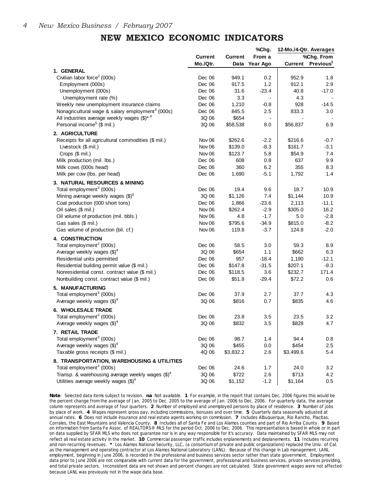#### **NEW MEXICO ECONOMIC INDICATORS**

|                                                              |                   |                | %Chg.    |           | 12-Mo./4-Qtr. Averages        |
|--------------------------------------------------------------|-------------------|----------------|----------|-----------|-------------------------------|
|                                                              | <b>Current</b>    | <b>Current</b> | From a   |           | %Chg. From                    |
|                                                              | Mo./Qtr.          | Data           | Year Ago |           | Current Previous <sup>1</sup> |
| 1. GENERAL                                                   |                   |                |          |           |                               |
| Civilian labor force <sup>2</sup> (000s)                     | Dec 06            | 949.1          | 0.2      | 952.9     | 1.8                           |
| Employment (000s)                                            | Dec 06            | 917.5          | 1.2      | 912.1     | 2.9                           |
| Unemployment (000s)                                          | Dec 06            | 31.6           | $-23.4$  | 40.8      | $-17.0$                       |
| Unemployment rate (%)                                        | Dec 06            | 3.3            |          | 4.3       |                               |
| Weekly new unemployment insurance claims                     | Dec 06            | 1,210          | $-0.8$   | 928       | $-14.5$                       |
| Nonagricultural wage & salary employment <sup>3</sup> (000s) | Dec 06            | 845.5          | 2.5      | 833.3     | 3.0                           |
| All industries average weekly wages (\$)*,4                  | 3Q 06             | \$654          |          |           |                               |
| Personal income <sup>5</sup> (\$ mil.)                       | 3Q 06             | \$58,538       | 8.0      | \$56,837  | 6.9                           |
| 2. AGRICULTURE                                               |                   |                |          |           |                               |
| Receipts for all agricultural commodities (\$ mil.)          | Nov <sub>06</sub> | \$262.6        | $-2.2$   | \$216.6   | $-0.7$                        |
| Livestock (\$ mil.)                                          | Nov <sub>06</sub> | \$139.0        | $-8.3$   | \$161.7   | $-3.1$                        |
| Crops (\$ mil.)                                              | Nov 06            | \$123.7        | 5.8      | \$54.9    | 7.4                           |
| Milk production (mil. lbs.)                                  | Dec 06            | 608            | 0.8      | 637       | 9.9                           |
| Milk cows (000s head)                                        | Dec 06            | 360            | 6.2      | 355       | 8.3                           |
| Milk per cow (lbs. per head)                                 | Dec 06            | 1,690          | $-5.1$   | 1,792     | 1.4                           |
| 3. NATURAL RESOURCES & MINING                                |                   |                |          |           |                               |
| Total employment <sup>3</sup> (000s)                         | Dec 06            | 19.4           | 9.6      | 18.7      | 10.9                          |
| Mining average weekly wages $(\text{$}^{\circ})^4$           | 3Q 06             | \$1,126        | 7.4      | \$1,144   | 10.9                          |
| Coal production (000 short tons)                             | Dec 06            | 1,866          | $-23.6$  | 2,113     | $-11.1$                       |
| Oil sales (\$ mil.)                                          | Nov <sub>06</sub> | \$262.4        | $-2.9$   | \$305.0   | 16.2                          |
| Oil volume of production (mil. bbls.)                        | Nov <sub>06</sub> | 4.8            | $-1.7$   | 5.0       | $-2.8$                        |
| Gas sales (\$ mil.)                                          | Nov 06            | \$795.6        | $-34.9$  | \$815.0   | $-8.2$                        |
| Gas volume of production (bil. cf.)                          | Nov <sub>06</sub> | 119.8          | $-3.7$   | 124.8     | $-2.0$                        |
| <b>4. CONSTRUCTION</b>                                       |                   |                |          |           |                               |
| Total employment <sup>3</sup> (000s)                         | Dec 06            | 58.5           | 3.0      | 59.3      | 8.9                           |
| Average weekly wages $(\text{$\$})^4$                        | 3Q 06             | \$654          | 1.1      | \$662     | 6.3                           |
| Residential units permitted                                  | Dec 06            | 957            | $-18.4$  | 1,190     | $-12.1$                       |
| Residential building permit value (\$ mil.)                  | Dec 06            | \$147.8        | $-31.5$  | \$207.1   | $-9.3$                        |
| Nonresidential const. contract value (\$ mil.)               | Dec 06            | \$118.5        | 3.6      | \$232.7   | 171.4                         |
| Nonbuilding const. contract value (\$ mil.)                  | Dec 06            | \$51.8         | $-29.4$  | \$72.2    | 0.6                           |
| 5. MANUFACTURING                                             |                   |                |          |           |                               |
| Total employment <sup>3</sup> (000s)                         | Dec 06            | 37.9           | 2.7      | 37.7      | 4.3                           |
| Average weekly wages $(\text{$}^4)$                          | 3Q 06             | \$816          | 0.7      | \$835     | 4.6                           |
| 6. WHOLESALE TRADE                                           |                   |                |          |           |                               |
| Total employment <sup>3</sup> (000s)                         | Dec 06            | 23.8           | 3.5      | 23.5      | 3.2                           |
| Average weekly wages $(\text{$\$})^4$                        | 3Q 06             | \$832          | 3.5      | \$828     | 4.7                           |
| 7. RETAIL TRADE                                              |                   |                |          |           |                               |
| Total employment <sup>3</sup> (000s)                         | Dec 06            | 98.7           | 1.4      | 94.4      | 0.8                           |
| Average weekly wages $(\text{$}^4)$                          | 3Q 06             | \$455          | 0.0      | \$454     | 2.5                           |
| Taxable gross receipts (\$ mil.)                             | 4Q 06             | \$3,832.2      | 2.6      | \$3,499.6 | 5.4                           |
| 8. TRANSPORTATION, WAREHOUSING & UTILITIES                   |                   |                |          |           |                               |
| Total employment <sup>3</sup> (000s)                         | Dec 06            | 24.6           | 1.7      | 24.0      | 3.2                           |
| Transp. & warehousing average weekly wages $(\text{$\$})^4$  | 3Q 06             | \$722          | 2.6      | \$713     | 4.2                           |
| Utilities average weekly wages $(\$)^4$                      | 3Q 06             | \$1,152        | $-1.2$   | \$1,164   | 0.5                           |

**Note**: Selected data items subject to revision. **na** Not available. **1** For example, in the report that contains Dec. 2006 figures this would be the percent change from the average of Jan. 2005 to Dec. 2005 to the average of Jan. 2006 to Dec. 2006. For quarterly data, the average column represents and average of four quarters. **2** Number of employed and unemployed persons by place of residence. **3** Number of jobs by place of work. **4** Wages represent gross pay, including commissions, bonuses and over time. **5** Quarterly data seasonally adjusted at annual rates. **6** Does not include insurance and real estate agents working on commission. **7** Includes Albuquerque, Rio Rancho, Placitas, Corrales, the East Mountains and Valencia County. **8** Includes all of Santa Fe and Los Alamos counties and part of Rio Arriba County. **9** Based on information from Santa Fe Assoc. of REALTORS® MLS for the period Oct. 2006 to Dec. 2006. This representation is based in whole or in part on data supplied by SFAR MLS who does not guarantee nor is in any way responsible for it's accuracy. Data maintained by SFAR MLS may not reflect all real estate activity in the market. **10** Commercial passenger traffic includes enplanements and deplanements. **11** Includes recurring and non-recurring revenues. **\*** Los Alamos National Security, LLC, (a consortium of private and public organizations) replaced the Univ. of Cal. as the management and operating contractor at Los Alamos National Laboratory (LANL). Because of this change in Lab management, LANL employment, beginning in June 2006, is recorded in the professional and business services sector rather than state government. Employment data prior to June 2006 are not comparable with current data for the government, professional and business services, private services providing, and total private sectors. Inconsistent data are not shown and percent changes are not calculated. State government wages were not affected because LANL was previously not in the wage data base.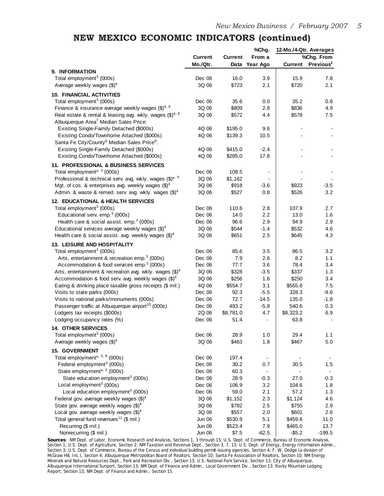#### **NEW MEXICO ECONOMIC INDICATORS (continued)**

|                                                                      |                |                | %Chg.                    | 12-Mo./4-Qtr. Averages |                               |  |
|----------------------------------------------------------------------|----------------|----------------|--------------------------|------------------------|-------------------------------|--|
|                                                                      | <b>Current</b> | <b>Current</b> | From a                   |                        | %Chg. From                    |  |
|                                                                      | Mo./Qtr.       |                | Data Year Ago            |                        | Current Previous <sup>1</sup> |  |
| 9. INFORMATION                                                       |                |                |                          |                        |                               |  |
| Total employment <sup>3</sup> (000s)                                 | Dec 06         | 16.0           | 3.9                      | 15.9                   | 7.8                           |  |
| Average weekly wages $(\text{$\$})^4$                                | 3Q 06          | \$723          | 2.1                      | \$720                  | 2.1                           |  |
| <b>10. FINANCIAL ACTIVITIES</b>                                      |                |                |                          |                        |                               |  |
| Total employment <sup>3</sup> (000s)                                 | Dec 06         | 35.6           | 0.0                      | 35.2                   | 0.8                           |  |
| Finance & insurance average weekly wages $(\text{$\$})^{4,6}$        | 3Q 06          | \$809          | 2.8                      | \$836                  | 4.9                           |  |
| Real estate & rental & leasing avg. wkly. wages $(\text{$\$})^{4,6}$ | 3Q 06          | \$572          | 4.4                      | \$578                  | 7.5                           |  |
| Albuquerque Area <sup>7</sup> Median Sales Price:                    |                |                |                          |                        |                               |  |
| Existing Single-Family Detached (\$000s)                             | 4Q 06          | \$195.0        | 9.6                      |                        |                               |  |
| Existing Condo/Townhome Attached (\$000s)                            | 4Q 06          | \$139.3        | 10.5                     |                        |                               |  |
| Santa Fe City/County <sup>8</sup> Median Sales Price <sup>9</sup> :  |                |                |                          |                        |                               |  |
| Existing Single-Family Detached (\$000s)                             | 4Q 06          | \$415.0        | $-2.4$                   |                        |                               |  |
| Existing Condo/Townhome Attached (\$000s)                            | 4Q 06          | \$285.0        | 17.8                     |                        |                               |  |
| 11. PROFESSIONAL & BUSINESS SERVICES                                 |                |                |                          |                        |                               |  |
| Total employment* <sup>3</sup> (000s)                                | Dec 06         | 108.5          | $\overline{\phantom{0}}$ |                        |                               |  |
| Professional & technical serv. avg. wkly. wages (\$)*, 4             | 3Q 06          | \$1,162        |                          |                        |                               |  |
| Mgt. of cos. & enterprises avg. weekly wages $(\text{$\$})^4$        | 3Q 06          | \$918          | $-3.6$                   | \$923                  | $-3.5$                        |  |
| Admin. & waste & remed. serv. avg. wkly. wages $(\text{$\$})^4$      | 3Q 06          | \$527          | 0.8                      | \$526                  | 3.2                           |  |
|                                                                      |                |                |                          |                        |                               |  |
| 12. EDUCATIONAL & HEALTH SERVICES                                    |                |                |                          |                        |                               |  |
| Total employment <sup>3</sup> (000s)                                 | Dec 06         | 110.6          | 2.8                      | 107.9                  | 2.7                           |  |
| Educational serv. $emp.^3$ (000s)                                    | Dec 06         | 14.0           | 2.2                      | 13.0                   | 1.6                           |  |
| Health care & social assist. $emp3$ (000s)                           | Dec 06         | 96.6           | 2.9                      | 94.9                   | 2.9                           |  |
| Educational services average weekly wages $(\text{$\$})^4$           | 3Q 06          | \$544          | $-1.4$                   | \$532                  | 4.6                           |  |
| Health care & social assist. avg. weekly wages $(\text{$\$})^4$      | 3Q 06          | \$651          | 2.5                      | \$645                  | 4.3                           |  |
| 13. LEISURE AND HOSPITALITY                                          |                |                |                          |                        |                               |  |
| Total employment <sup>3</sup> (000s)                                 | Dec 06         | 85.6           | 3.5                      | 86.5                   | 3.2                           |  |
| Arts, entertainment & recreation emp. <sup>3</sup> (000s)            | Dec 06         | 7.9            | 2.6                      | 8.2                    | 1.1                           |  |
| Accommodation & food services emp. <sup>3</sup> (000s)               | Dec 06         | 77.7           | 3.6                      | 78.4                   | 3.4                           |  |
| Arts, entertainment & recreation avg. wkly. wages $(\text{$\$})^4$   | 3Q 06          | \$328          | $-3.5$                   | \$337                  | 1.3                           |  |
| Accommodation & food serv. avg. weekly wages $(\text{$\$})^4$        | 3Q 06          | \$256          | 1.6                      | \$250                  | 3.4                           |  |
| Eating & drinking place taxable gross receipts (\$ mil.)             | 4Q 06          | \$554.7        | 3.1                      | \$565.8                | 7.5                           |  |
| Visits to state parks (000s)                                         | Dec 06         | 92.3           | $-5.5$                   | 328.3                  | $-9.6$                        |  |
| Visits to national parks/monuments (000s)                            | Dec 06         | 72.7           | $-14.5$                  | 135.0                  | $-1.8$                        |  |
| Passenger traffic at Albuquerque airport <sup>10</sup> (000s)        | Dec 06         | 493.2          | $-5.8$                   | 540.6                  | 0.3                           |  |
| Lodgers tax receipts (\$000s)                                        | 2Q 06          | \$8,781.0      | 4.7                      | \$8,323.2              | 6.9                           |  |
| Lodging occupancy rates (%)                                          | Dec 06         | 51.4           | $\overline{\phantom{a}}$ | 63.8                   |                               |  |
| <b>14. OTHER SERVICES</b>                                            |                |                |                          |                        |                               |  |
| Total employment <sup>3</sup> (000s)                                 | Dec 06         | 28.9           | 1.0                      | 29.4                   | 1.1                           |  |
| Average weekly wages $(\text{$}^{\circ})^4$                          | 3Q 06          | \$463          | 1.8                      | \$467                  | 5.0                           |  |
| 15. GOVERNMENT                                                       |                |                |                          |                        |                               |  |
| Total employment*, 3, 9 (000s)                                       | Dec 06         | 197.4          |                          |                        |                               |  |
| Federal employment <sup>3</sup> (000s)                               | Dec 06         | 30.2           | 0.7                      | 30.5                   | 1.5                           |  |
| State employment*, 3 (000s)                                          | Dec 06         | 60.3           | $\overline{\phantom{a}}$ |                        |                               |  |
| State education employment <sup>3</sup> (000s)                       | Dec 06         | 28.9           | $-0.3$                   | 27.0                   | $-0.3$                        |  |
| Local employment <sup>3</sup> (000s)                                 | Dec 06         | 106.9          | 3.2                      | 104.6                  | 1.8                           |  |
| Local education employment <sup>3</sup> (000s)                       | Dec 06         | 59.0           | 2.1                      | 57.2                   | 1.3                           |  |
| Federal gov. average weekly wages $(\text{$\$})^4$                   | 3Q 06          | \$1,152        | 2.3                      | \$1,124                | 4.6                           |  |
| State gov. average weekly wages $(\text{$\$})^4$                     | 3Q 06          | \$782          | 2.5                      | \$755                  | 2.9                           |  |
| Local gov. average weekly wages $(\text{$\$})^4$                     | 3Q 06          | \$557          | 2.0                      | \$601                  | 2.6                           |  |
| Total general fund revenues <sup>11</sup> (\$ mil.)                  | Jun 06         | \$530.9        | 5.1                      | \$459.8                | 11.0                          |  |
| Recurring (\$ mil.)                                                  | Jun 06         | \$523.4        | 7.9                      | \$465.0                | 13.7                          |  |
| Nonrecurring (\$ mil.)                                               | Jun 06         | \$7.5          | $-62.5$                  | $-$ \$5.2              | $-199.5$                      |  |
|                                                                      |                |                |                          |                        |                               |  |

Sources: NM Dept. of Labor, Economic Research and Analysis, Sections 1, 3 through 15; U.S. Dept. of Commerce, Bureau of Economic Analysis,<br>Section 1; U.S. Dept. of Agriculture, Section 2; NM Taxation and Revenue Dept., Sec Section 3; U.S. Dept. of Commerce, Bureau of the Census and individual building permit-issuing agencies, Section 4; F. W. Dodge (a division of McGraw Hill, Inc.), Section 4; Albuquerque Metropolitan Board of Realtors, Section 10; Santa Fe Association of Realtors, Section 10; NM Energy Minerals and Natural Resources Dept., Park and Recreation Div., Section 13; U.S. National Park Service, Section 13; City of Albuquerque, Albuquerque International Sunport, Section 13; NM Dept. of Finance and Admin., Local Government Div., Section 13; Rocky Mountain Lodging Report, Section 13; NM Dept. of Finance and Admin., Section 15.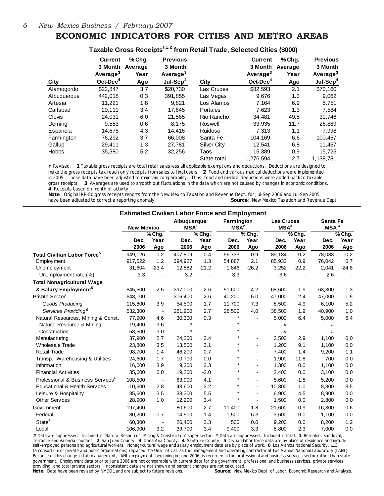#### **ECONOMIC INDICATORS FOR CITIES AND METRO AREAS**

| City          | <b>Current</b><br>3 Month<br>Average <sup>3</sup><br>$Oct-Dec4$ | % Chq.<br>Average<br>Year<br>Ago | <b>Previous</b><br>3 Month<br>Average <sup>3</sup><br>Jul-Sep $4$ | City        | <b>Current</b><br>3 Month<br>Average <sup>3</sup><br>$Oct-Dec4$ | % Chg.<br>Average<br>Year<br>Ago | <b>Previous</b><br>3 Month<br>Average <sup>3</sup><br>Jul-Sep $4$ |
|---------------|-----------------------------------------------------------------|----------------------------------|-------------------------------------------------------------------|-------------|-----------------------------------------------------------------|----------------------------------|-------------------------------------------------------------------|
| Alamogordo    | \$22,847                                                        | 3.7                              | \$20.730                                                          | Las Cruces  | \$82,593                                                        | 2.1                              | \$70.160                                                          |
| Albuquerque   | 442,018                                                         | 0.3                              | 391,855                                                           | Las Vegas   | 9,676                                                           | 1.3                              | 9,062                                                             |
| Artesia       | 11.221                                                          | 1.8                              | 9.821                                                             | Los Alamos  | 7.164                                                           | 6.9                              | 5.751                                                             |
| Carlsbad      | 20.111                                                          | 3.4                              | 17,645                                                            | Portales    | 7.623                                                           | 1.3                              | 7,584                                                             |
| <b>Clovis</b> | 24.031                                                          | $-6.0$                           | 21.565                                                            | Rio Rancho  | 34,481                                                          | 49.5                             | 31.746                                                            |
| Deming        | 9.553                                                           | 0.6                              | 8.175                                                             | Roswell     | 33.935                                                          | 11.7                             | 26,889                                                            |
| Espanola      | 14.678                                                          | 4.3                              | 14.416                                                            | Ruidoso     | 7.313                                                           | 1.1                              | 7.998                                                             |
| Farmington    | 76.292                                                          | 3.7                              | 66,008                                                            | Santa Fe    | 104.169                                                         | $-6.6$                           | 100.457                                                           |
| Gallup        | 29.411                                                          | $-1.3$                           | 27.781                                                            | Silver City | 12.541                                                          | $-6.8$                           | 11,457                                                            |
| <b>Hobbs</b>  | 35,380                                                          | 5.2                              | 32,256                                                            | Taos        | 15.389                                                          | 0.9                              | 15.725                                                            |
|               |                                                                 |                                  |                                                                   | State total | 1.276.594                                                       | 2.7                              | 1.138.781                                                         |

#### Taxable Gross Receipts<sup>r,1,2</sup> from Retail Trade, Selected Cities (\$000)

**r** Revised. **1** Taxable gross receipts are total retail sales less all applicable exemptions and deductions. Deductions are designed to make the gross receipts tax reach only receipts from sales to final users. **2** Food and various medical deductions were implemented in 2005. These data have been adjusted to maintain comparability. Thus, food and medical deductions were added back to taxable gross receipts. **3** Averages are used to smooth out fluctuations in the data which are not caused by changes in economic conditions. **4** Receipts based on month of activity.

**Note**: Original RP-80 gross receipts reports from the New Mexico Taxation and Revenue Dept. for Jul-Sep 2006 and Jul-Sep 2005 have been adjusted to correct a reporting anomaly.<br>**Source**: New Mexico Taxation and Reven **Source:** New Mexico Taxation and Revenue Dept.

| <b>Estimated Civilian Labor Force and Employment</b> |                                           |                          |                                             |                |                                            |                          |                                                   |                |                                          |             |
|------------------------------------------------------|-------------------------------------------|--------------------------|---------------------------------------------|----------------|--------------------------------------------|--------------------------|---------------------------------------------------|----------------|------------------------------------------|-------------|
|                                                      | <b>New Mexico</b><br>$\overline{\%}$ Chg. |                          | Albuquerque<br>MSA <sup>1</sup><br>$%$ Chg. |                | Farmington<br>MSA <sup>2</sup><br>$%$ Chg. |                          | <b>Las Cruces</b><br>MSA <sup>3</sup><br>$%$ Chg. |                | Santa Fe<br>MSA <sup>4</sup><br>$%$ Chg. |             |
|                                                      |                                           |                          |                                             |                |                                            |                          |                                                   |                |                                          |             |
|                                                      | Dec.<br>2006                              | Year<br>Ago              | Dec.<br>2006                                | Year<br>Ago    | Dec.<br>2006                               | Year<br>Ago              | Dec.<br>2006                                      | Year<br>Ago    | Dec.<br>2006                             | Year<br>Ago |
| Total Civilian Labor Force <sup>5</sup>              | 949,126                                   | 0.2                      | 407,809                                     | 0.4            | 56,733                                     | 0.9                      | 89,184                                            | $-0.2$         | 78,083                                   | $-0.2$      |
| Employment                                           | 917,522                                   | 1.2                      | 394,927                                     | 1.3            | 54,887                                     | 2.1                      | 85,932                                            | 0.9            | 76.042                                   | 0.7         |
| Unemployment                                         | 31,604                                    | $-23.4$                  | 12,882                                      | $-21.2$        | 1,846                                      | $-26.2$                  | 3,252                                             | $-22.2$        | 2,041                                    | $-24.8$     |
| Unemployment rate (%)                                | 3.3                                       |                          | 3.2                                         |                | 3.3                                        |                          | 3.6                                               |                | 2.6                                      |             |
| <b>Total Nonagricultural Wage</b>                    |                                           |                          |                                             |                |                                            |                          |                                                   |                |                                          |             |
| & Salary Employment <sup>5</sup>                     | 845,500                                   | 2.5                      | 397,000                                     | 2.6            | 51,600                                     | 4.2                      | 68,600                                            | 1.9            | 63,300                                   | 1.3         |
| Private Sector <sup>6</sup>                          | 648,100                                   | $\overline{\phantom{a}}$ | 316,400                                     | 2.6            | 40,200                                     | 5.0                      | 47,000                                            | 2.4            | 47,000                                   | 1.5         |
| Goods Producing                                      | 115,800                                   | 3.9                      | 54,500                                      | 1.7            | 11,700                                     | 7.3                      | 8,500                                             | 4.9            | 6,100                                    | 5.2         |
| Services Providing <sup>6</sup>                      | 532,300                                   | $\blacksquare$           | 261,900                                     | 2.7            | 28,500                                     | 4.0                      | 38,500                                            | 1.9            | 40,900                                   | 1.0         |
| Natural Resources, Mining & Const.                   | 77,900                                    | 4.6                      | 30,300                                      | 0.3            | $\star$                                    | $\blacksquare$           | 5,000                                             | 6.4            | 5,000                                    | 6.4         |
| Natural Resource & Mining                            | 19,400                                    | 9.6                      | #                                           |                | $\star$                                    |                          | #                                                 |                | #                                        |             |
| Construction                                         | 58,500                                    | 3.0                      | #                                           | $\blacksquare$ | $\star$                                    |                          | #                                                 | $\blacksquare$ | #                                        |             |
| Manufacturing                                        | 37,900                                    | 2.7                      | 24,200                                      | 3.4            | $\star$                                    | $\blacksquare$           | 3,500                                             | 2.9            | 1,100                                    | 0.0         |
| <b>Wholesale Trade</b>                               | 23,800                                    | 3.5                      | 13,500                                      | 3.1            | $\star$                                    | $\blacksquare$           | 1,200                                             | 9.1            | 1,100                                    | 0.0         |
| <b>Retail Trade</b>                                  | 98,700                                    | 1.4                      | 46,200                                      | 0.7            | $\star$                                    | $\overline{\phantom{a}}$ | 7,400                                             | 1.4            | 9,200                                    | 1.1         |
| Transp., Warehousing & Utilities                     | 24,600                                    | 1.7                      | 10,700                                      | 0.0            | $\star$                                    |                          | 1,900                                             | 11.8           | 700                                      | 0.0         |
| Information                                          | 16,000                                    | 3.9                      | 9,300                                       | 3.3            | $\star$                                    | $\blacksquare$           | 1,300                                             | 0.0            | 1,100                                    | 0.0         |
| <b>Financial Activities</b>                          | 35,600                                    | 0.0                      | 19,200                                      | $-2.0$         | $\star$                                    | $\blacksquare$           | 2,400                                             | 0.0            | 3,100                                    | 0.0         |
| Professional & Business Services <sup>6</sup>        | 108.500                                   | $\sim$ $\sim$            | 63.900                                      | 4.1            | $\star$                                    | $\blacksquare$           | 5.600                                             | $-1.8$         | 5,200                                    | 0.0         |
| <b>Educational &amp; Health Services</b>             | 110,600                                   | 2.8                      | 48,600                                      | 3.2            | $\star$                                    | ÷                        | 10,300                                            | 1.0            | 8,800                                    | 3.5         |
| Leisure & Hospitality                                | 85,600                                    | 3.5                      | 38,300                                      | 5.5            | $\star$                                    | $\blacksquare$           | 6,900                                             | 4.5            | 8,900                                    | 0.0         |
| <b>Other Services</b>                                | 28,900                                    | 1.0                      | 12,200                                      | 3.4            |                                            | $\overline{a}$           | 1,500                                             | 0.0            | 2,800                                    | 0.0         |
| Government <sup>6</sup>                              | 197,400                                   | $\overline{\phantom{a}}$ | 80,600                                      | 2.7            | 11,400                                     | 1.8                      | 21,600                                            | 0.9            | 16,300                                   | 0.6         |
| Federal                                              | 30,200                                    | 0.7                      | 14,500                                      | 1.4            | 1,500                                      | $-6.3$                   | 3,600                                             | 0.0            | 1,100                                    | 0.0         |
| State <sup>6</sup>                                   | 60,300                                    | $\overline{\phantom{a}}$ | 26,400                                      | 2.3            | 500                                        | 0.0                      | 9,200                                             | 0.0            | 8,200                                    | 1.2         |
| Local                                                | 106.900                                   | 3.2                      | 39,700                                      | 3.4            | 9.400                                      | 3.3                      | 8.800                                             | 2.3            | 7.000                                    | 0.0         |

# Data are suppressed. Included in "Natural Resources, Mining & Construction" super sector. \* Data are suppressed. Included in total. 1 Bernalillo, Sandoval,<br>Torrance and Valencia counties. 2 San Juan County. 3 Dona Ana Co self-employed persons and agricultural workers. Nonagricultural wage and salary employment data are by place of work. **6** Los Alamos National Security, LLC, (a consortium of private and public organizations) replaced the Univ. of Cal. as the management and operating contractor at Los Alamos National Laboratory (LANL). Because of this change in Lab management, LANL employment, beginning in June 2006, is recorded in the professional and business services sector rather than state government. Employment data prior to June 2006 are not comparable with current data for the government, professional and business services, private services providing, and total private sectors. Inconsistent data are not shown and percent changes are not calculated.<br>**Note**: Data have been revised by NMDOL and are subject to future revisions. **Source**: New Mexico Dept. of Labor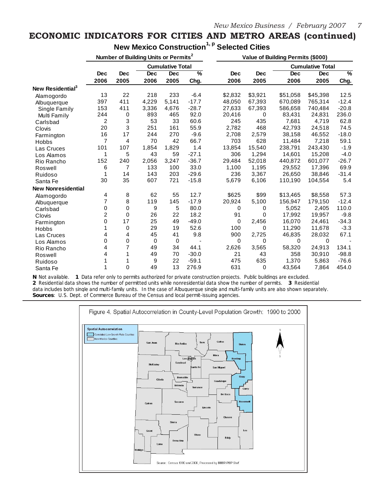### **ECONOMIC INDICATORS FOR CITIES AND METRO AREAS (continued) New Mexico Construction1, p Selected Cities**

|                              | Number of Building Units or Permits <sup>2</sup> |      |                         |             |                          |            | Value of Building Permits (\$000) |                         |             |                          |  |
|------------------------------|--------------------------------------------------|------|-------------------------|-------------|--------------------------|------------|-----------------------------------|-------------------------|-------------|--------------------------|--|
|                              |                                                  |      | <b>Cumulative Total</b> |             |                          |            |                                   | <b>Cumulative Total</b> |             |                          |  |
|                              | <b>Dec</b>                                       | Dec  | <b>Dec</b>              | <b>Dec</b>  | $\overline{\mathcal{C}}$ | <b>Dec</b> | <b>Dec</b>                        | <b>Dec</b>              | <b>Dec</b>  | $\overline{\mathcal{C}}$ |  |
|                              | 2006                                             | 2005 | 2006                    | 2005        | Chg.                     | 2006       | 2005                              | 2006                    | 2005        | Chg.                     |  |
| New Residential <sup>3</sup> |                                                  |      |                         |             |                          |            |                                   |                         |             |                          |  |
| Alamogordo                   | 13                                               | 22   | 218                     | 233         | $-6.4$                   | \$2,832    | \$3,921                           | \$51,058                | \$45,398    | 12.5                     |  |
| Albuquerque                  | 397                                              | 411  | 4,229                   | 5,141       | $-17.7$                  | 48,050     | 67,393                            | 670,089                 | 765,314     | $-12.4$                  |  |
| Single Family                | 153                                              | 411  | 3,336                   | 4,676       | $-28.7$                  | 27,633     | 67,393                            | 586,658                 | 740,484     | $-20.8$                  |  |
| Multi Family                 | 244                                              | 0    | 893                     | 465         | 92.0                     | 20,416     | $\mathbf 0$                       | 83,431                  | 24,831      | 236.0                    |  |
| Carlsbad                     | $\overline{2}$                                   | 3    | 53                      | 33          | 60.6                     | 245        | 435                               | 7,681                   | 4,719       | 62.8                     |  |
| Clovis                       | 20                                               | 3    | 251                     | 161         | 55.9                     | 2,782      | 468                               | 42,793                  | 24,518      | 74.5                     |  |
| Farmington                   | 16                                               | 17   | 244                     | 270         | $-9.6$                   | 2,708      | 2,579                             | 38,158                  | 46,552      | $-18.0$                  |  |
| <b>Hobbs</b>                 | 7                                                | 4    | 70                      | 42          | 66.7                     | 703        | 628                               | 11,484                  | 7,218       | 59.1                     |  |
| Las Cruces                   | 101                                              | 107  | 1,854                   | 1,829       | 1.4                      | 13,854     | 15,540                            | 238,791                 | 243,430     | $-1.9$                   |  |
| Los Alamos                   | 1                                                | 5    | 43                      | 59          | $-27.1$                  | 306        | 1,294                             | 14,601                  | 15,208      | $-4.0$                   |  |
| Rio Rancho                   | 152                                              | 240  | 2,056                   | 3,247       | $-36.7$                  | 29,484     | 52,018                            | 440,872                 | 601,077     | $-26.7$                  |  |
| Roswell                      | 6                                                | 7    | 133                     | 100         | 33.0                     | 1,100      | 1,195                             | 29,552                  | 17,396      | 69.9                     |  |
| Ruidoso                      | 1                                                | 14   | 143                     | 203         | $-29.6$                  | 236        | 3,367                             | 26,650                  | 38,846      | $-31.4$                  |  |
| Santa Fe                     | 30                                               | 35   | 607                     | 721         | $-15.8$                  | 5,679      | 6,106                             | 110,190                 | 104,554     | 5.4                      |  |
| <b>New Nonresidential</b>    |                                                  |      |                         |             |                          |            |                                   |                         |             |                          |  |
| Alamogordo                   | 4                                                | 8    | 62                      | 55          | 12.7                     | \$625      | \$99                              | \$13,465                | \$8,558     | 57.3                     |  |
| Albuquerque                  | $\overline{7}$                                   | 8    | 119                     | 145         | $-17.9$                  | 20,924     | 5,100                             | 156,947                 | 179,150     | $-12.4$                  |  |
| Carlsbad                     | 0                                                | 0    | 9                       | 5           | 80.0                     | 0          | 0                                 | 5,052                   | 2,405       | 110.0                    |  |
| Clovis                       | $\overline{2}$                                   | 0    | 26                      | 22          | 18.2                     | 91         | 0                                 | 17,992                  | 19,957      | $-9.8$                   |  |
| Farmington                   | 0                                                | 17   | 25                      | 49          | $-49.0$                  | 0          | 2,456                             | 16,070                  | 24,461      | $-34.3$                  |  |
| <b>Hobbs</b>                 | 1                                                | 0    | 29                      | 19          | 52.6                     | 100        | 0                                 | 11,290                  | 11,678      | $-3.3$                   |  |
| Las Cruces                   | 4                                                | 4    | 45                      | 41          | 9.8                      | 900        | 2,725                             | 46,835                  | 28,032      | 67.1                     |  |
| Los Alamos                   | 0                                                | 0    | 0                       | $\mathbf 0$ |                          | 0          | 0                                 | $\Omega$                | $\mathbf 0$ |                          |  |
| Rio Rancho                   | 4                                                | 7    | 49                      | 34          | 44.1                     | 2,626      | 3,565                             | 58,320                  | 24,913      | 134.1                    |  |
| Roswell                      | 4                                                | 1    | 49                      | 70          | $-30.0$                  | 21         | 43                                | 358                     | 30,910      | $-98.8$                  |  |
| Ruidoso                      | 1                                                | 1    | 9                       | 22          | $-59.1$                  | 475        | 635                               | 1,370                   | 5,863       | $-76.6$                  |  |
| Santa Fe                     | 1                                                | 0    | 49                      | 13          | 276.9                    | 631        | 0                                 | 43,564                  | 7,864       | 454.0                    |  |

**N** Not available. **1** Data refer only to permits authorized for private construction projects. Public buildings are excluded. **2** Residential data shows the number of permitted units while nonresidential data show the number of permits. **3** Residential data includes both single and multi-family units. In the case of Albuquerque single and multi-family units are also shown separately. **Sources**: U.S. Dept. of Commerce Bureau of the Census and local permit-issuing agencies.